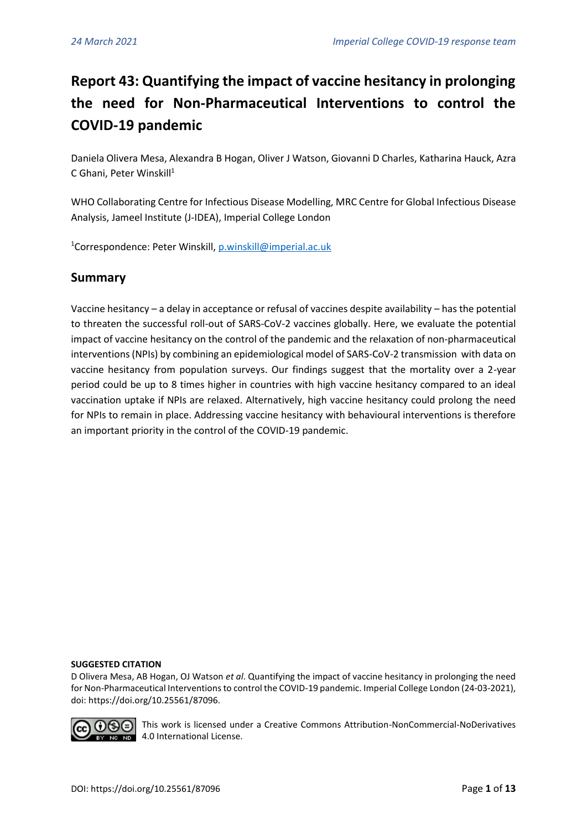# **Report 43: Quantifying the impact of vaccine hesitancy in prolonging the need for Non-Pharmaceutical Interventions to control the COVID-19 pandemic**

Daniela Olivera Mesa, Alexandra B Hogan, Oliver J Watson, Giovanni D Charles, Katharina Hauck, Azra C Ghani, Peter Winskill<sup>1</sup>

WHO Collaborating Centre for Infectious Disease Modelling, MRC Centre for Global Infectious Disease Analysis, Jameel Institute (J-IDEA), Imperial College London

<sup>1</sup>Correspondence: Peter Winskill[, p.winskill@imperial.ac.uk](mailto:p.winskill@imperial.ac.uk)

# **Summary**

Vaccine hesitancy – a delay in acceptance or refusal of vaccines despite availability – has the potential to threaten the successful roll-out of SARS-CoV-2 vaccines globally. Here, we evaluate the potential impact of vaccine hesitancy on the control of the pandemic and the relaxation of non-pharmaceutical interventions (NPIs) by combining an epidemiological model of SARS-CoV-2 transmission with data on vaccine hesitancy from population surveys. Our findings suggest that the mortality over a 2-year period could be up to 8 times higher in countries with high vaccine hesitancy compared to an ideal vaccination uptake if NPIs are relaxed. Alternatively, high vaccine hesitancy could prolong the need for NPIs to remain in place. Addressing vaccine hesitancy with behavioural interventions is therefore an important priority in the control of the COVID-19 pandemic.

#### **SUGGESTED CITATION**

D Olivera Mesa, AB Hogan, OJ Watson *et al*. Quantifying the impact of vaccine hesitancy in prolonging the need for Non-Pharmaceutical Interventions to control the COVID-19 pandemic. Imperial College London (24-03-2021), doi: https://doi.org/10.25561/87096.



**TIGE** This work is licensed under a Creative Commons Attribution-NonCommercial-NoDerivatives **10 No. 10 4.0 International License.**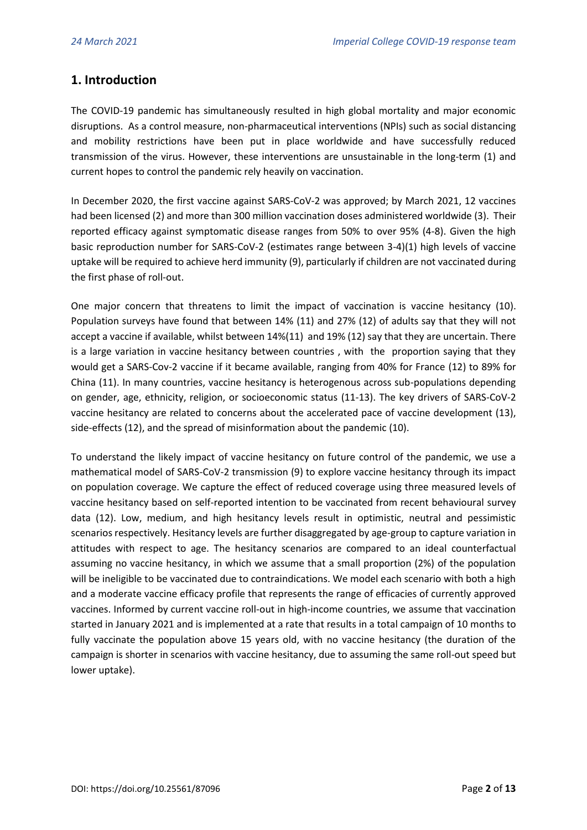# **1. Introduction**

The COVID-19 pandemic has simultaneously resulted in high global mortality and major economic disruptions. As a control measure, non-pharmaceutical interventions (NPIs) such as social distancing and mobility restrictions have been put in place worldwide and have successfully reduced transmission of the virus. However, these interventions are unsustainable in the long-term (1) and current hopes to control the pandemic rely heavily on vaccination.

In December 2020, the first vaccine against SARS-CoV-2 was approved; by March 2021, 12 vaccines had been licensed (2) and more than 300 million vaccination doses administered worldwide (3). Their reported efficacy against symptomatic disease ranges from 50% to over 95% (4-8). Given the high basic reproduction number for SARS-CoV-2 (estimates range between 3-4)(1) high levels of vaccine uptake will be required to achieve herd immunity (9), particularly if children are not vaccinated during the first phase of roll-out.

One major concern that threatens to limit the impact of vaccination is vaccine hesitancy (10). Population surveys have found that between 14% (11) and 27% (12) of adults say that they will not accept a vaccine if available, whilst between 14%(11) and 19% (12) say that they are uncertain. There is a large variation in vaccine hesitancy between countries , with the proportion saying that they would get a SARS-Cov-2 vaccine if it became available, ranging from 40% for France (12) to 89% for China (11). In many countries, vaccine hesitancy is heterogenous across sub-populations depending on gender, age, ethnicity, religion, or socioeconomic status (11-13). The key drivers of SARS-CoV-2 vaccine hesitancy are related to concerns about the accelerated pace of vaccine development (13), side-effects (12), and the spread of misinformation about the pandemic (10).

To understand the likely impact of vaccine hesitancy on future control of the pandemic, we use a mathematical model of SARS-CoV-2 transmission (9) to explore vaccine hesitancy through its impact on population coverage. We capture the effect of reduced coverage using three measured levels of vaccine hesitancy based on self-reported intention to be vaccinated from recent behavioural survey data (12). Low, medium, and high hesitancy levels result in optimistic, neutral and pessimistic scenarios respectively. Hesitancy levels are further disaggregated by age-group to capture variation in attitudes with respect to age. The hesitancy scenarios are compared to an ideal counterfactual assuming no vaccine hesitancy, in which we assume that a small proportion (2%) of the population will be ineligible to be vaccinated due to contraindications. We model each scenario with both a high and a moderate vaccine efficacy profile that represents the range of efficacies of currently approved vaccines. Informed by current vaccine roll-out in high-income countries, we assume that vaccination started in January 2021 and is implemented at a rate that results in a total campaign of 10 months to fully vaccinate the population above 15 years old, with no vaccine hesitancy (the duration of the campaign is shorter in scenarios with vaccine hesitancy, due to assuming the same roll-out speed but lower uptake).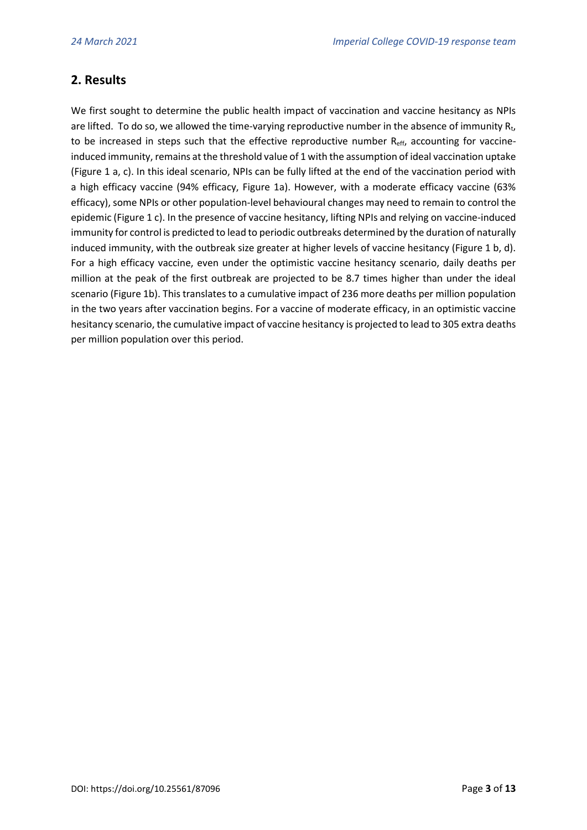# **2. Results**

We first sought to determine the public health impact of vaccination and vaccine hesitancy as NPIs are lifted. To do so, we allowed the time-varying reproductive number in the absence of immunity  $R_t$ , to be increased in steps such that the effective reproductive number  $R_{\text{eff}}$ , accounting for vaccineinduced immunity, remains at the threshold value of 1 with the assumption of ideal vaccination uptake (Figure 1 a, c). In this ideal scenario, NPIs can be fully lifted at the end of the vaccination period with a high efficacy vaccine (94% efficacy, Figure 1a). However, with a moderate efficacy vaccine (63% efficacy), some NPIs or other population-level behavioural changes may need to remain to control the epidemic (Figure 1 c). In the presence of vaccine hesitancy, lifting NPIs and relying on vaccine-induced immunity for control is predicted to lead to periodic outbreaks determined by the duration of naturally induced immunity, with the outbreak size greater at higher levels of vaccine hesitancy (Figure 1 b, d). For a high efficacy vaccine, even under the optimistic vaccine hesitancy scenario, daily deaths per million at the peak of the first outbreak are projected to be 8.7 times higher than under the ideal scenario (Figure 1b). This translates to a cumulative impact of 236 more deaths per million population in the two years after vaccination begins. For a vaccine of moderate efficacy, in an optimistic vaccine hesitancy scenario, the cumulative impact of vaccine hesitancy is projected to lead to 305 extra deaths per million population over this period.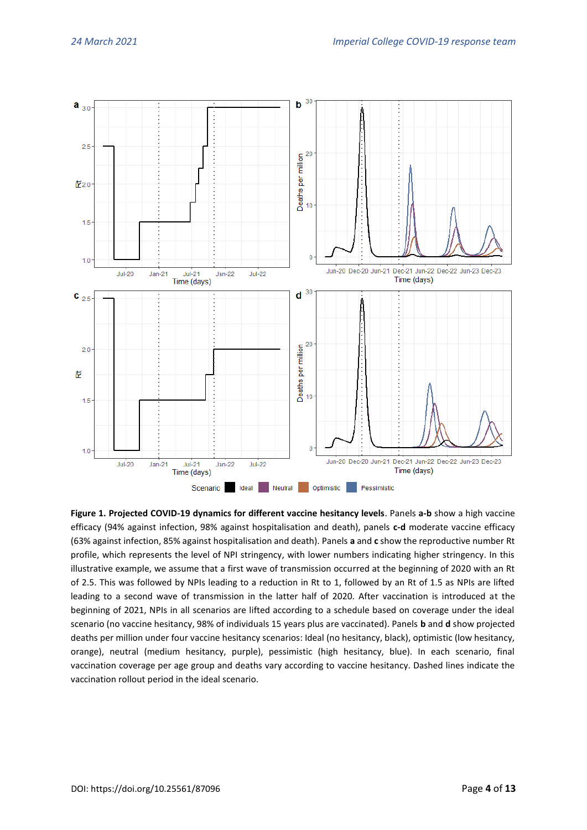

**Figure 1. Projected COVID-19 dynamics for different vaccine hesitancy levels**. Panels **a-b** show a high vaccine efficacy (94% against infection, 98% against hospitalisation and death), panels **c-d** moderate vaccine efficacy (63% against infection, 85% against hospitalisation and death). Panels **<sup>a</sup>** and **<sup>c</sup>** show the reproductive number Rt profile, which represents the level of NPI stringency, with lower numbers indicating higher stringency. In this illustrative example, we assume that a first wave of transmission occurred at the beginning of 2020 with an Rt of 2.5. This was followed by NPIs leading to a reduction in Rt to 1, followed by an Rt of 1.5 as NPIs are lifted leading to a second wave of transmission in the latter half of 2020. After vaccination is introduced at the beginning of 2021, NPIs in all scenarios are lifted according to a schedule based on coverage under the ideal scenario (no vaccine hesitancy, 98% of individuals 15 years plus are vaccinated). Panels **b** and **d** show projected deaths per million under four vaccine hesitancy scenarios: Ideal (no hesitancy, black), optimistic (low hesitancy, orange), neutral (medium hesitancy, purple), pessimistic (high hesitancy, blue). In each scenario, final vaccination coverage per age group and deaths vary according to vaccine hesitancy. Dashed lines indicate the vaccination rollout period in the ideal scenario.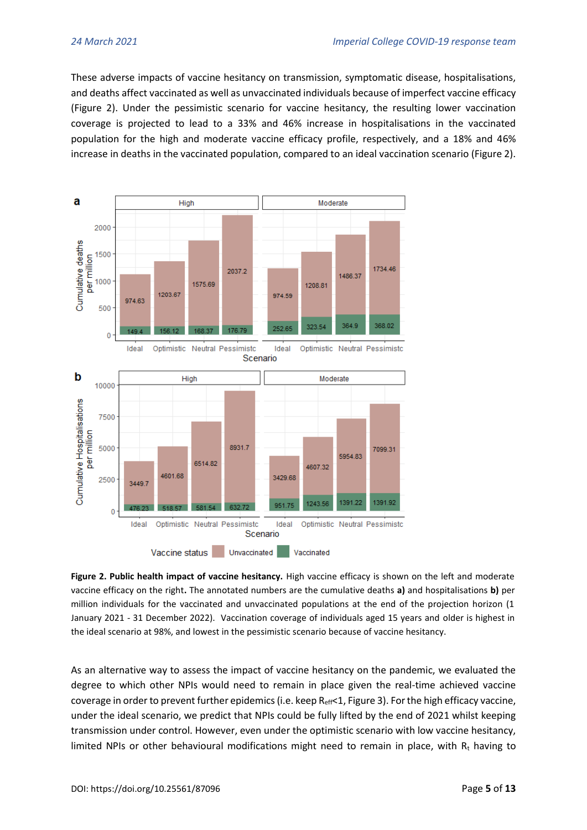These adverse impacts of vaccine hesitancy on transmission, symptomatic disease, hospitalisations, and deaths affect vaccinated as well as unvaccinated individuals because of imperfect vaccine efficacy (Figure 2). Under the pessimistic scenario for vaccine hesitancy, the resulting lower vaccination coverage is projected to lead to a 33% and 46% increase in hospitalisations in the vaccinated population for the high and moderate vaccine efficacy profile, respectively, and a 18% and 46% increase in deaths in the vaccinated population, compared to an ideal vaccination scenario (Figure 2).



**Figure 2. Public health impact of vaccine hesitancy.** High vaccine efficacy is shown on the left and moderate vaccine efficacy on the right**.** The annotated numbers are the cumulative deaths **a)** and hospitalisations **b)** per million individuals for the vaccinated and unvaccinated populations at the end of the projection horizon (1 January 2021 - 31 December 2022). Vaccination coverage of individuals aged 15 years and older is highest in the ideal scenario at 98%, and lowest in the pessimistic scenario because of vaccine hesitancy.

As an alternative way to assess the impact of vaccine hesitancy on the pandemic, we evaluated the degree to which other NPIs would need to remain in place given the real-time achieved vaccine coverage in order to prevent further epidemics (i.e. keep  $\text{R}_{\text{eff}}$ <1, Figure 3). For the high efficacy vaccine, under the ideal scenario, we predict that NPIs could be fully lifted by the end of 2021 whilst keeping transmission under control. However, even under the optimistic scenario with low vaccine hesitancy, limited NPIs or other behavioural modifications might need to remain in place, with  $R<sub>t</sub>$  having to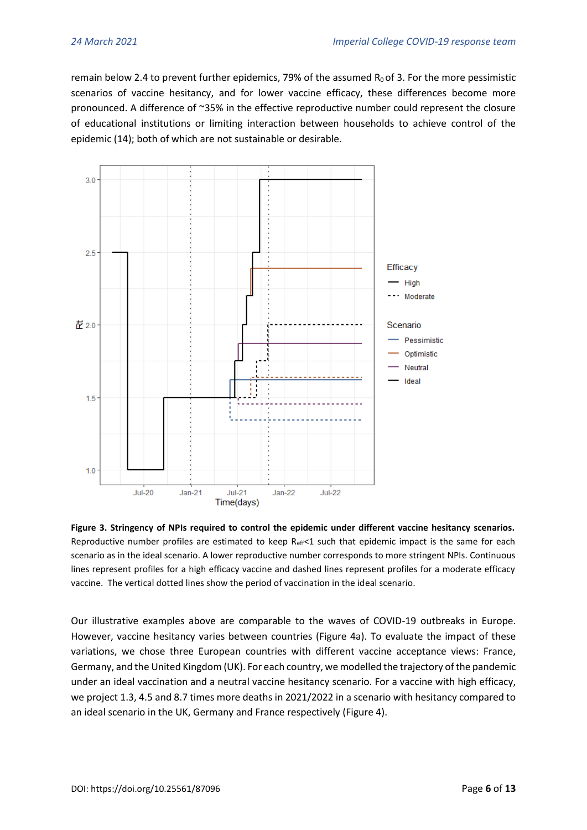remain below 2.4 to prevent further epidemics, 79% of the assumed  $R_0$  of 3. For the more pessimistic scenarios of vaccine hesitancy, and for lower vaccine efficacy, these differences become more pronounced. A difference of ~35% in the effective reproductive number could represent the closure of educational institutions or limiting interaction between households to achieve control of the epidemic (14); both of which are not sustainable or desirable.



**Figure 3. Stringency of NPIs required to control the epidemic under different vaccine hesitancy scenarios.**  Reproductive number profiles are estimated to keep  $R_{\text{eff}}$ <1 such that epidemic impact is the same for each scenario as in the ideal scenario. A lower reproductive number corresponds to more stringent NPIs. Continuous lines represent profiles for a high efficacy vaccine and dashed lines represent profiles for a moderate efficacy vaccine. The vertical dotted lines show the period of vaccination in the ideal scenario.

Our illustrative examples above are comparable to the waves of COVID-19 outbreaks in Europe. However, vaccine hesitancy varies between countries (Figure 4a). To evaluate the impact of these variations, we chose three European countries with different vaccine acceptance views: France, Germany, and the United Kingdom (UK). For each country, we modelled the trajectory of the pandemic under an ideal vaccination and a neutral vaccine hesitancy scenario. For a vaccine with high efficacy, we project 1.3, 4.5 and 8.7 times more deaths in 2021/2022 in a scenario with hesitancy compared to an ideal scenario in the UK, Germany and France respectively (Figure 4).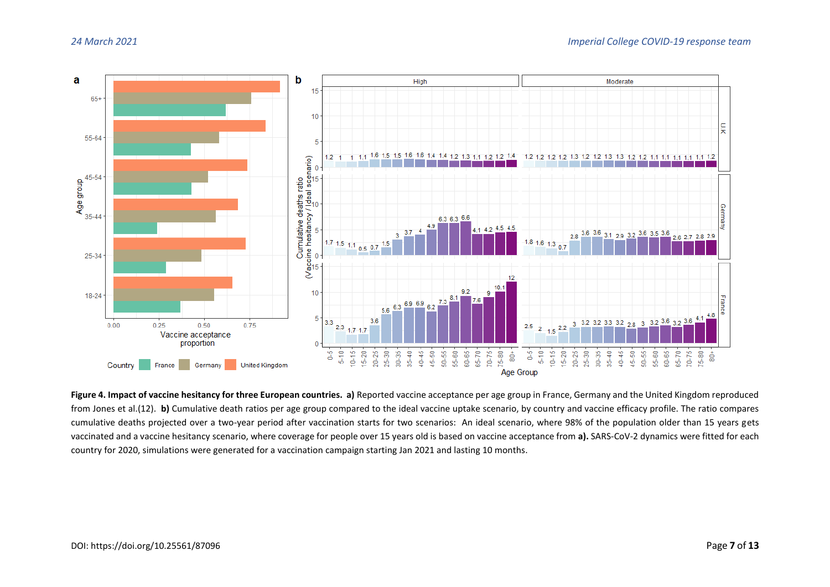

**Figure 4. Impact of vaccine hesitancy for three European countries. a)** Reported vaccine acceptance per age group in France, Germany and the United Kingdom reproduced from Jones et al.(12). **b)** Cumulative death ratios per age group compared to the ideal vaccine uptake scenario, by country and vaccine efficacy profile. The ratio compares cumulative deaths projected over a two-year period after vaccination starts for two scenarios: An ideal scenario, where 98% of the population older than 15 years gets vaccinated and a vaccine hesitancy scenario, where coverage for people over 15 years old is based on vaccine acceptance from **a).** SARS-CoV-2 dynamics were fitted for each country for 2020, simulations were generated for a vaccination campaign starting Jan 2021 and lasting 10 months.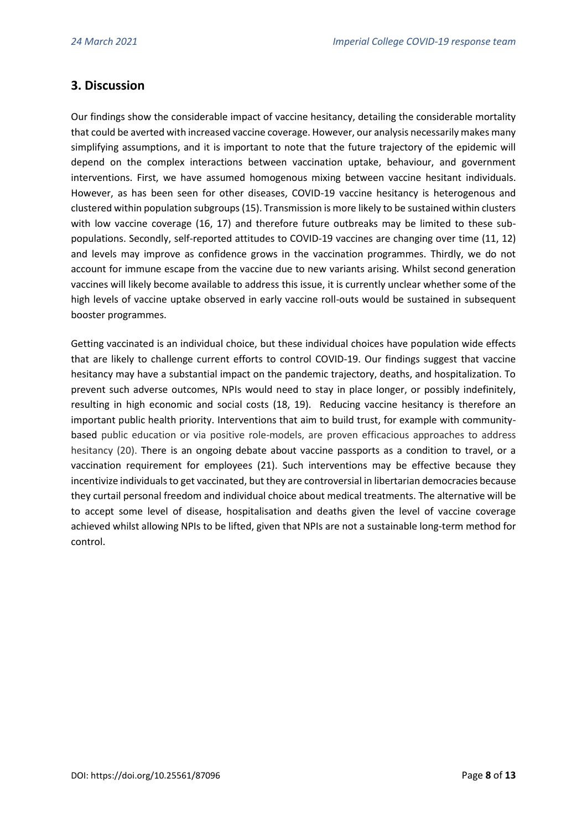# **3. Discussion**

Our findings show the considerable impact of vaccine hesitancy, detailing the considerable mortality that could be averted with increased vaccine coverage. However, our analysis necessarily makes many simplifying assumptions, and it is important to note that the future trajectory of the epidemic will depend on the complex interactions between vaccination uptake, behaviour, and government interventions. First, we have assumed homogenous mixing between vaccine hesitant individuals. However, as has been seen for other diseases, COVID-19 vaccine hesitancy is heterogenous and clustered within population subgroups (15). Transmission is more likely to be sustained within clusters with low vaccine coverage (16, 17) and therefore future outbreaks may be limited to these subpopulations. Secondly, self-reported attitudes to COVID-19 vaccines are changing over time (11, 12) and levels may improve as confidence grows in the vaccination programmes. Thirdly, we do not account for immune escape from the vaccine due to new variants arising. Whilst second generation vaccines will likely become available to address this issue, it is currently unclear whether some of the high levels of vaccine uptake observed in early vaccine roll-outs would be sustained in subsequent booster programmes.

Getting vaccinated is an individual choice, but these individual choices have population wide effects that are likely to challenge current efforts to control COVID-19. Our findings suggest that vaccine hesitancy may have a substantial impact on the pandemic trajectory, deaths, and hospitalization. To prevent such adverse outcomes, NPIs would need to stay in place longer, or possibly indefinitely, resulting in high economic and social costs (18, 19). Reducing vaccine hesitancy is therefore an important public health priority. Interventions that aim to build trust, for example with communitybased public education or via positive role-models, are proven efficacious approaches to address hesitancy (20). There is an ongoing debate about vaccine passports as a condition to travel, or a vaccination requirement for employees (21). Such interventions may be effective because they incentivize individuals to get vaccinated, but they are controversial in libertarian democracies because they curtail personal freedom and individual choice about medical treatments. The alternative will be to accept some level of disease, hospitalisation and deaths given the level of vaccine coverage achieved whilst allowing NPIs to be lifted, given that NPIs are not a sustainable long-term method for control.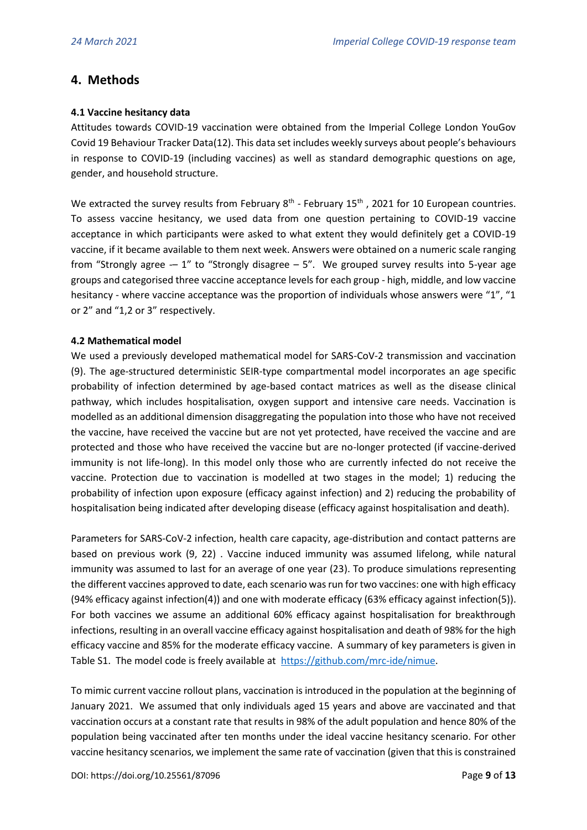## **4. Methods**

### **4.1 Vaccine hesitancy data**

Attitudes towards COVID-19 vaccination were obtained from the Imperial College London YouGov Covid 19 Behaviour Tracker Data(12). This data set includes weekly surveys about people's behaviours in response to COVID-19 (including vaccines) as well as standard demographic questions on age, gender, and household structure.

We extracted the survey results from February  $8^{th}$  - February 15<sup>th</sup>, 2021 for 10 European countries. To assess vaccine hesitancy, we used data from one question pertaining to COVID-19 vaccine acceptance in which participants were asked to what extent they would definitely get a COVID-19 vaccine, if it became available to them next week. Answers were obtained on a numeric scale ranging from "Strongly agree  $-1$ " to "Strongly disagree  $-5$ ". We grouped survey results into 5-year age groups and categorised three vaccine acceptance levels for each group - high, middle, and low vaccine hesitancy - where vaccine acceptance was the proportion of individuals whose answers were "1", "1 or 2" and "1,2 or 3" respectively.

#### **4.2 Mathematical model**

We used a previously developed mathematical model for SARS-CoV-2 transmission and vaccination (9). The age-structured deterministic SEIR-type compartmental model incorporates an age specific probability of infection determined by age-based contact matrices as well as the disease clinical pathway, which includes hospitalisation, oxygen support and intensive care needs. Vaccination is modelled as an additional dimension disaggregating the population into those who have not received the vaccine, have received the vaccine but are not yet protected, have received the vaccine and are protected and those who have received the vaccine but are no-longer protected (if vaccine-derived immunity is not life-long). In this model only those who are currently infected do not receive the vaccine. Protection due to vaccination is modelled at two stages in the model; 1) reducing the probability of infection upon exposure (efficacy against infection) and 2) reducing the probability of hospitalisation being indicated after developing disease (efficacy against hospitalisation and death).

Parameters for SARS-CoV-2 infection, health care capacity, age-distribution and contact patterns are based on previous work (9, 22) . Vaccine induced immunity was assumed lifelong, while natural immunity was assumed to last for an average of one year (23). To produce simulations representing the different vaccines approved to date, each scenario was run for two vaccines: one with high efficacy (94% efficacy against infection(4)) and one with moderate efficacy (63% efficacy against infection(5)). For both vaccines we assume an additional 60% efficacy against hospitalisation for breakthrough infections, resulting in an overall vaccine efficacy against hospitalisation and death of 98% for the high efficacy vaccine and 85% for the moderate efficacy vaccine. A summary of key parameters is given in Table S1. The model code is freely available at [https://github.com/mrc-ide/nimue.](https://github.com/mrc-ide/nimue)

To mimic current vaccine rollout plans, vaccination is introduced in the population at the beginning of January 2021. We assumed that only individuals aged 15 years and above are vaccinated and that vaccination occurs at a constant rate that results in 98% of the adult population and hence 80% of the population being vaccinated after ten months under the ideal vaccine hesitancy scenario. For other vaccine hesitancy scenarios, we implement the same rate of vaccination (given that this is constrained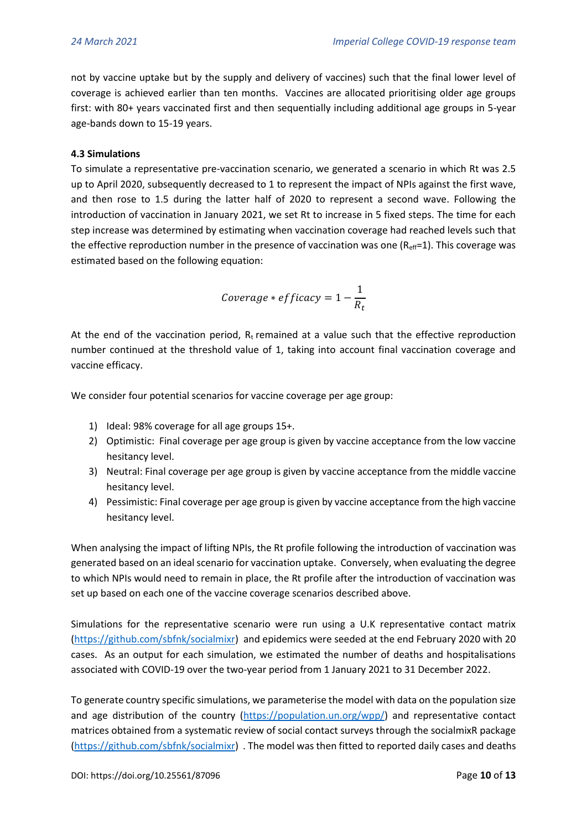not by vaccine uptake but by the supply and delivery of vaccines) such that the final lower level of coverage is achieved earlier than ten months. Vaccines are allocated prioritising older age groups first: with 80+ years vaccinated first and then sequentially including additional age groups in 5-year age-bands down to 15-19 years.

### **4.3 Simulations**

To simulate a representative pre-vaccination scenario, we generated a scenario in which Rt was 2.5 up to April 2020, subsequently decreased to 1 to represent the impact of NPIs against the first wave, and then rose to 1.5 during the latter half of 2020 to represent a second wave. Following the introduction of vaccination in January 2021, we set Rt to increase in 5 fixed steps. The time for each step increase was determined by estimating when vaccination coverage had reached levels such that the effective reproduction number in the presence of vaccination was one  $(R<sub>eff</sub>=1)$ . This coverage was estimated based on the following equation:

$$
Coverage * efficacy = 1 - \frac{1}{R_t}
$$

At the end of the vaccination period,  $R_t$  remained at a value such that the effective reproduction number continued at the threshold value of 1, taking into account final vaccination coverage and vaccine efficacy.

We consider four potential scenarios for vaccine coverage per age group:

- 1) Ideal: 98% coverage for all age groups 15+.
- 2) Optimistic: Final coverage per age group is given by vaccine acceptance from the low vaccine hesitancy level.
- 3) Neutral: Final coverage per age group is given by vaccine acceptance from the middle vaccine hesitancy level.
- 4) Pessimistic: Final coverage per age group is given by vaccine acceptance from the high vaccine hesitancy level.

When analysing the impact of lifting NPIs, the Rt profile following the introduction of vaccination was generated based on an ideal scenario for vaccination uptake. Conversely, when evaluating the degree to which NPIs would need to remain in place, the Rt profile after the introduction of vaccination was set up based on each one of the vaccine coverage scenarios described above.

Simulations for the representative scenario were run using a U.K representative contact matrix [\(https://github.com/sbfnk/socialmixr\)](https://github.com/sbfnk/socialmixr) and epidemics were seeded at the end February 2020 with 20 cases. As an output for each simulation, we estimated the number of deaths and hospitalisations associated with COVID-19 over the two-year period from 1 January 2021 to 31 December 2022.

To generate country specific simulations, we parameterise the model with data on the population size and age distribution of the country [\(https://population.un.org/wpp/\)](https://population.un.org/wpp/) and representative contact matrices obtained from a systematic review of social contact surveys through the socialmixR package [\(https://github.com/sbfnk/socialmixr\)](https://github.com/sbfnk/socialmixr) . The model was then fitted to reported daily cases and deaths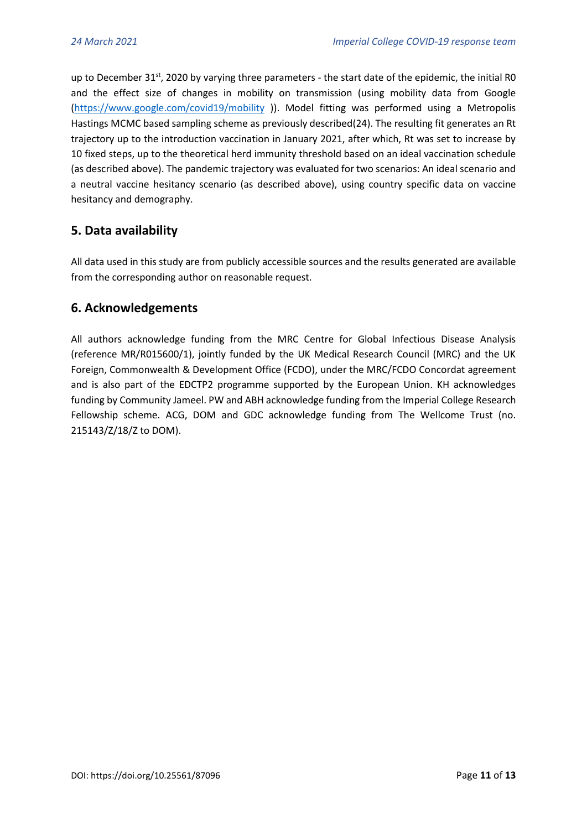up to December 31<sup>st</sup>, 2020 by varying three parameters - the start date of the epidemic, the initial R0 and the effect size of changes in mobility on transmission (using mobility data from Google [\(https://www.google.com/covid19/mobility](https://www.google.com/covid19/mobility) )). Model fitting was performed using a Metropolis Hastings MCMC based sampling scheme as previously described(24). The resulting fit generates an Rt trajectory up to the introduction vaccination in January 2021, after which, Rt was set to increase by 10 fixed steps, up to the theoretical herd immunity threshold based on an ideal vaccination schedule (as described above). The pandemic trajectory was evaluated for two scenarios: An ideal scenario and a neutral vaccine hesitancy scenario (as described above), using country specific data on vaccine hesitancy and demography.

# **5. Data availability**

All data used in this study are from publicly accessible sources and the results generated are available from the corresponding author on reasonable request.

# **6. Acknowledgements**

All authors acknowledge funding from the MRC Centre for Global Infectious Disease Analysis (reference MR/R015600/1), jointly funded by the UK Medical Research Council (MRC) and the UK Foreign, Commonwealth & Development Office (FCDO), under the MRC/FCDO Concordat agreement and is also part of the EDCTP2 programme supported by the European Union. KH acknowledges funding by Community Jameel. PW and ABH acknowledge funding from the Imperial College Research Fellowship scheme. ACG, DOM and GDC acknowledge funding from The Wellcome Trust (no. 215143/Z/18/Z to DOM).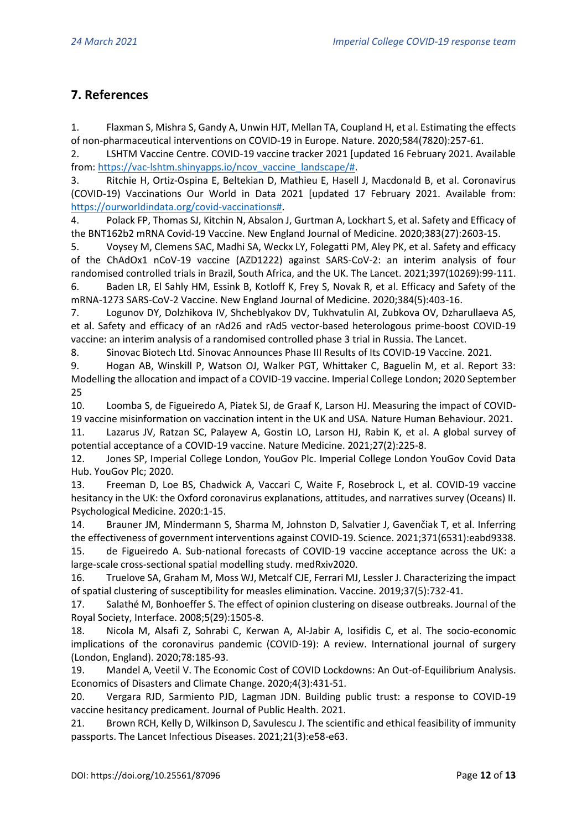# **7. References**

1. Flaxman S, Mishra S, Gandy A, Unwin HJT, Mellan TA, Coupland H, et al. Estimating the effects of non-pharmaceutical interventions on COVID-19 in Europe. Nature. 2020;584(7820):257-61.

2. LSHTM Vaccine Centre. COVID-19 vaccine tracker 2021 [updated 16 February 2021. Available from: [https://vac-lshtm.shinyapps.io/ncov\\_vaccine\\_landscape/#.](https://vac-lshtm.shinyapps.io/ncov_vaccine_landscape/)

3. Ritchie H, Ortiz-Ospina E, Beltekian D, Mathieu E, Hasell J, Macdonald B, et al. Coronavirus (COVID-19) Vaccinations Our World in Data 2021 [updated 17 February 2021. Available from: [https://ourworldindata.org/covid-vaccinations#.](https://ourworldindata.org/covid-vaccinations)

4. Polack FP, Thomas SJ, Kitchin N, Absalon J, Gurtman A, Lockhart S, et al. Safety and Efficacy of the BNT162b2 mRNA Covid-19 Vaccine. New England Journal of Medicine. 2020;383(27):2603-15.

5. Voysey M, Clemens SAC, Madhi SA, Weckx LY, Folegatti PM, Aley PK, et al. Safety and efficacy of the ChAdOx1 nCoV-19 vaccine (AZD1222) against SARS-CoV-2: an interim analysis of four randomised controlled trials in Brazil, South Africa, and the UK. The Lancet. 2021;397(10269):99-111.

6. Baden LR, El Sahly HM, Essink B, Kotloff K, Frey S, Novak R, et al. Efficacy and Safety of the mRNA-1273 SARS-CoV-2 Vaccine. New England Journal of Medicine. 2020;384(5):403-16.

7. Logunov DY, Dolzhikova IV, Shcheblyakov DV, Tukhvatulin AI, Zubkova OV, Dzharullaeva AS, et al. Safety and efficacy of an rAd26 and rAd5 vector-based heterologous prime-boost COVID-19 vaccine: an interim analysis of a randomised controlled phase 3 trial in Russia. The Lancet.

8. Sinovac Biotech Ltd. Sinovac Announces Phase III Results of Its COVID-19 Vaccine. 2021.

9. Hogan AB, Winskill P, Watson OJ, Walker PGT, Whittaker C, Baguelin M, et al. Report 33: Modelling the allocation and impact of a COVID-19 vaccine. Imperial College London; 2020 September 25

10. Loomba S, de Figueiredo A, Piatek SJ, de Graaf K, Larson HJ. Measuring the impact of COVID-19 vaccine misinformation on vaccination intent in the UK and USA. Nature Human Behaviour. 2021.

11. Lazarus JV, Ratzan SC, Palayew A, Gostin LO, Larson HJ, Rabin K, et al. A global survey of potential acceptance of a COVID-19 vaccine. Nature Medicine. 2021;27(2):225-8.

12. Jones SP, Imperial College London, YouGov Plc. Imperial College London YouGov Covid Data Hub. YouGov Plc; 2020.

13. Freeman D, Loe BS, Chadwick A, Vaccari C, Waite F, Rosebrock L, et al. COVID-19 vaccine hesitancy in the UK: the Oxford coronavirus explanations, attitudes, and narratives survey (Oceans) II. Psychological Medicine. 2020:1-15.

14. Brauner JM, Mindermann S, Sharma M, Johnston D, Salvatier J, Gavenčiak T, et al. Inferring the effectiveness of government interventions against COVID-19. Science. 2021;371(6531):eabd9338.

15. de Figueiredo A. Sub-national forecasts of COVID-19 vaccine acceptance across the UK: a large-scale cross-sectional spatial modelling study. medRxiv2020.

16. Truelove SA, Graham M, Moss WJ, Metcalf CJE, Ferrari MJ, Lessler J. Characterizing the impact of spatial clustering of susceptibility for measles elimination. Vaccine. 2019;37(5):732-41.

17. Salathé M, Bonhoeffer S. The effect of opinion clustering on disease outbreaks. Journal of the Royal Society, Interface. 2008;5(29):1505-8.

18. Nicola M, Alsafi Z, Sohrabi C, Kerwan A, Al-Jabir A, Iosifidis C, et al. The socio-economic implications of the coronavirus pandemic (COVID-19): A review. International journal of surgery (London, England). 2020;78:185-93.

19. Mandel A, Veetil V. The Economic Cost of COVID Lockdowns: An Out-of-Equilibrium Analysis. Economics of Disasters and Climate Change. 2020;4(3):431-51.

20. Vergara RJD, Sarmiento PJD, Lagman JDN. Building public trust: a response to COVID-19 vaccine hesitancy predicament. Journal of Public Health. 2021.

21. Brown RCH, Kelly D, Wilkinson D, Savulescu J. The scientific and ethical feasibility of immunity passports. The Lancet Infectious Diseases. 2021;21(3):e58-e63.